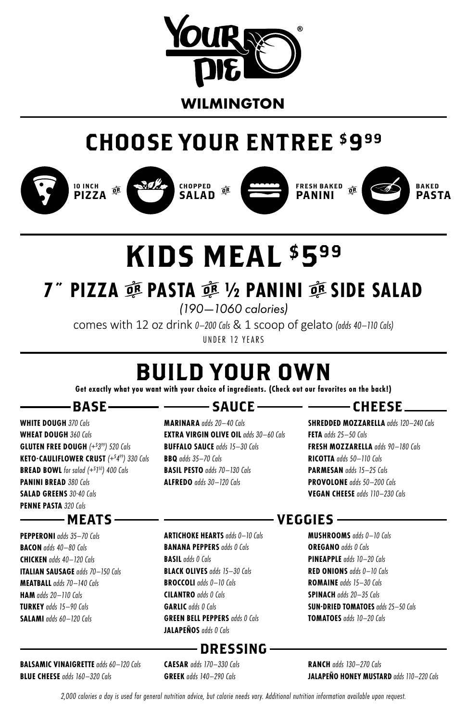

# CHOOSE YOUR ENTREE \$999















# KIDS MEAL \$599

# **7˝ PIZZA** r **PASTA** r **½ PANINI** r **SIDE SALAD**

*(190—1060 calories)*

comes with 12 oz drink *0–200 Cals* & 1 scoop of gelato *(adds 40–110 Cals)* UNDER 12 YEARS

# BUILD YOUR OWN

**Get exactly what you want with your choice of ingredients. (Check out our favorites on the back!)**

## $-$ BASE $-$

**WHITE DOUGH** *370 Cals* **WHEAT DOUGH** *360 Cals* **GLUTEN FREE DOUGH** *(+\$ 399) 520 Cals* **KETO-CAULIFLOWER CRUST** *(+\$ 499) 330 Cals* **BREAD BOWL** *for salad (+\$ 1 50) 400 Cals* **PANINI BREAD** *380 Cals* **SALAD GREENS** *30-40 Cals* **PENNE PASTA** *320 Cals*

## - MEATS –

**PEPPERONI** *adds 35–70 Cals* **BACON** *adds 40–80 Cals* **CHICKEN** *adds 40–120 Cals* **ITALIAN SAUSAGE** *adds 70–150 Cals* **MEATBALL** *adds 70–140 Cals* **HAM** *adds 20–110 Cals* **TURKEY** *adds 15–90 Cals* **SALAMI** *adds 60–120 Cals*

### **BALSAMIC VINAIGRETTE** *adds 60–120 Cals* **BLUE CHEESE** *adds 160–320 Cals*

## — ———— SAUCE ——

**MARINARA** *adds 20–40 Cals* **EXTRA VIRGIN OLIVE OIL** *adds 30–60 Cals* **BUFFALO SAUCE** *adds 15–30 Cals* **BBQ** *adds 35–70 Cals* **BASIL PESTO** *adds 70–130 Cals* **ALFREDO** *adds 30–120 Cals*

## $-$  CHEESE  $-$

**SHREDDED MOZZARELLA** *adds 120–240 Cals* **FETA** *adds 25–50 Cals* **FRESH MOZZARELLA** *adds 90–180 Cals* **RICOTTA** *adds 50–110 Cals* **PARMESAN** *adds 15–25 Cals* **PROVOLONE** *adds 50–200 Cals* **VEGAN CHEESE** *adds 110–230 Cals*

## **ARTICHOKE HEARTS** *adds 0–10 Cals* – VEGGIES –

**BANANA PEPPERS** *adds 0 Cals* **BLACK OLIVES** *adds 15–30 Cals* **BROCCOLI** *adds 0–10 Cals* **CILANTRO** *adds 0 Cals* **GREEN BELL PEPPERS** *adds 0 Cals* **JALAPEÑOS** *adds 0 Cals*

## $-$  DRESSING  $-$

**CAESAR** *adds 170–330 Cals* **GREEK** *adds 140–290 Cals*

**BASIL** *adds 0 Cals*

**GARLIC** *adds 0 Cals*

**MUSHROOMS** *adds 0–10 Cals* **OREGANO** *adds 0 Cals* **PINEAPPLE** *adds 10–20 Cals* **RED ONIONS** *adds 0–10 Cals* **ROMAINE** *adds 15–30 Cals* **SPINACH** *adds 20–35 Cals* **SUN-DRIED TOMATOES** *adds 25–50 Cals* **TOMATOES** *adds 10–20 Cals*

**RANCH** *adds 130–270 Cals* **JALAPEÑO HONEY MUSTARD** *adds 110–220 Cals*

*2,000 calories a day is used for general nutrition advice, but calorie needs vary. Additional nutrition information available upon request.*